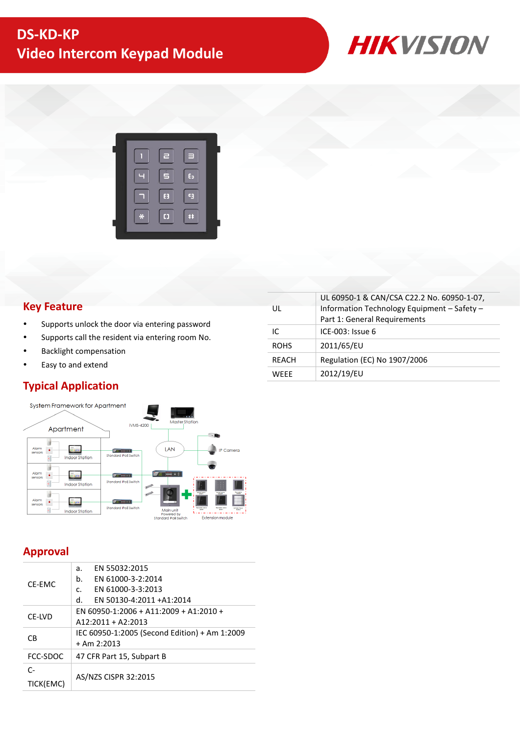



# **Key Feature**

- Supports unlock the door via entering password
- Supports call the resident via entering room No.
- Backlight compensation
- Easy to and extend

# **Typical Application**



### UL UL 60950-1 & CAN/CSA C22.2 No. 60950-1-07, Information Technology Equipment – Safety – Part 1: General Requirements  $IC$  ICE-003: Issue 6 ROHS 2011/65/EU REACH Regulation (EC) No 1907/2006 WEEE 2012/19/EU

# **Approval**

| CF-FMC         | EN 55032:2015<br>a.                           |  |  |
|----------------|-----------------------------------------------|--|--|
|                | EN 61000-3-2:2014<br>b.                       |  |  |
|                | EN 61000-3-3:2013<br>C.                       |  |  |
|                | d.<br>EN 50130-4:2011 +A1:2014                |  |  |
| CF-LVD         | EN 60950-1:2006 + A11:2009 + A1:2010 +        |  |  |
|                | $A12:2011 + A2:2013$                          |  |  |
| C <sub>B</sub> | IEC 60950-1:2005 (Second Edition) + Am 1:2009 |  |  |
|                | $+$ Am 2:2013                                 |  |  |
| FCC-SDOC       | 47 CFR Part 15, Subpart B                     |  |  |
| C-             |                                               |  |  |
| TICK(EMC)      | AS/NZS CISPR 32:2015                          |  |  |
|                |                                               |  |  |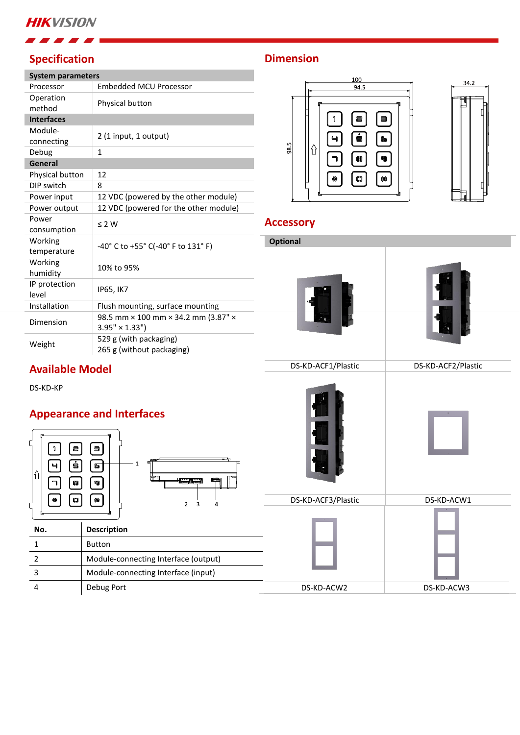# **HIKVISION**

# **Specification**

**Available Model**

DS-KD-KP

 $|\hat{u}|$ 

| <b>System parameters</b> |                                                             |  |  |  |  |
|--------------------------|-------------------------------------------------------------|--|--|--|--|
| Processor                | <b>Embedded MCU Processor</b>                               |  |  |  |  |
| Operation<br>method      | Physical button                                             |  |  |  |  |
| <b>Interfaces</b>        |                                                             |  |  |  |  |
| Module-<br>connecting    | 2 (1 input, 1 output)                                       |  |  |  |  |
| Debug                    | $\mathbf{1}$                                                |  |  |  |  |
| General                  |                                                             |  |  |  |  |
| Physical button          | 12                                                          |  |  |  |  |
| DIP switch               | 8                                                           |  |  |  |  |
| Power input              | 12 VDC (powered by the other module)                        |  |  |  |  |
| Power output             | 12 VDC (powered for the other module)                       |  |  |  |  |
| Power<br>consumption     | $\leq$ 2 W                                                  |  |  |  |  |
| Working<br>temperature   | -40° C to +55° C(-40° F to 131° F)                          |  |  |  |  |
| Working<br>humidity      | 10% to 95%                                                  |  |  |  |  |
| IP protection<br>level   | IP65, IK7                                                   |  |  |  |  |
| Installation             | Flush mounting, surface mounting                            |  |  |  |  |
| Dimension                | 98.5 mm × 100 mm × 34.2 mm (3.87" ×<br>$3.95" \times 1.33"$ |  |  |  |  |
| Weight                   | 529 g (with packaging)<br>265 g (without packaging)         |  |  |  |  |

# **Dimension**



# **Accessory**

| <b>Norking</b><br>emperature                                                                                                                              | -40° C to +55° C(-40° F to 131° F)                          | <b>Optional</b>    |                    |  |
|-----------------------------------------------------------------------------------------------------------------------------------------------------------|-------------------------------------------------------------|--------------------|--------------------|--|
| <b>Norking</b><br>umidity                                                                                                                                 | 10% to 95%                                                  |                    |                    |  |
| P protection<br>evel                                                                                                                                      | <b>IP65, IK7</b>                                            |                    |                    |  |
| nstallation                                                                                                                                               | Flush mounting, surface mounting                            |                    |                    |  |
| Dimension                                                                                                                                                 | 98.5 mm × 100 mm × 34.2 mm (3.87" ×<br>$3.95" \times 1.33"$ |                    |                    |  |
| <b>Neight</b>                                                                                                                                             | 529 g (with packaging)<br>265 g (without packaging)         |                    |                    |  |
| <b>Available Model</b>                                                                                                                                    |                                                             | DS-KD-ACF1/Plastic | DS-KD-ACF2/Plastic |  |
| <b>S-KD-KP</b><br><b>Appearance and Interfaces</b><br>a<br>目<br>1<br>ġ<br>Ч<br>65<br>$\hat{\mathbb{U}}$<br>$\mathbf{I} = \mathbf{I}$<br>Į<br>63<br>ള<br>┑ |                                                             |                    |                    |  |
| $\mathbb{C}\mathbb{J}$                                                                                                                                    | 88<br>$\overline{2}$<br>3<br>4                              | DS-KD-ACF3/Plastic | DS-KD-ACW1         |  |
| No.                                                                                                                                                       | <b>Description</b>                                          |                    |                    |  |
| $\mathbf 1$                                                                                                                                               | <b>Button</b>                                               |                    |                    |  |
| $\overline{2}$                                                                                                                                            | Module-connecting Interface (output)                        |                    |                    |  |
| $\mathsf 3$                                                                                                                                               | Module-connecting Interface (input)                         |                    |                    |  |
| 4                                                                                                                                                         | Debug Port                                                  | DS-KD-ACW2         | DS-KD-ACW3         |  |
|                                                                                                                                                           |                                                             |                    |                    |  |